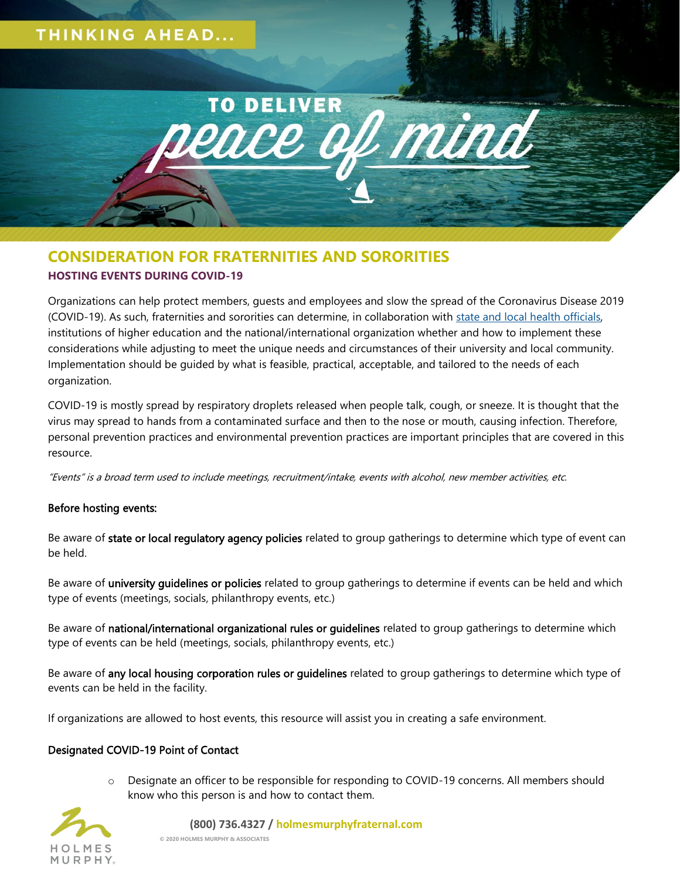

# **CONSIDERATION FOR FRATERNITIES AND SORORITIES HOSTING EVENTS DURING COVID-19**

Organizations can help protect members, guests and employees and slow the spread of the Coronavirus Disease 2019 (COVID-19). As such, fraternities and sororities can determine, in collaboration with [state and local health officials,](https://www.cdc.gov/publichealthgateway/healthdirectories/index.html) institutions of higher education and the national/international organization whether and how to implement these considerations while adjusting to meet the unique needs and circumstances of their university and local community. Implementation should be guided by what is feasible, practical, acceptable, and tailored to the needs of each organization.

COVID-19 is mostly spread by respiratory droplets released when people talk, cough, or sneeze. It is thought that the virus may spread to hands from a contaminated surface and then to the nose or mouth, causing infection. Therefore, personal prevention practices and environmental prevention practices are important principles that are covered in this resource.

"Events" is a broad term used to include meetings, recruitment/intake, events with alcohol, new member activities, etc.

# Before hosting events:

Be aware of state or local regulatory agency policies related to group gatherings to determine which type of event can be held.

Be aware of university quidelines or policies related to group gatherings to determine if events can be held and which type of events (meetings, socials, philanthropy events, etc.)

Be aware of national/international organizational rules or guidelines related to group gatherings to determine which type of events can be held (meetings, socials, philanthropy events, etc.)

Be aware of any local housing corporation rules or guidelines related to group gatherings to determine which type of events can be held in the facility.

If organizations are allowed to host events, this resource will assist you in creating a safe environment.

# Designated COVID-19 Point of Contact

o Designate an officer to be responsible for responding to COVID-19 concerns. All members should know who this person is and how to contact them.



#### **(800) 736.4327 / holmesmurphyfraternal.com**

**© 2020 HOLMES MURPHY & ASSOCIATES**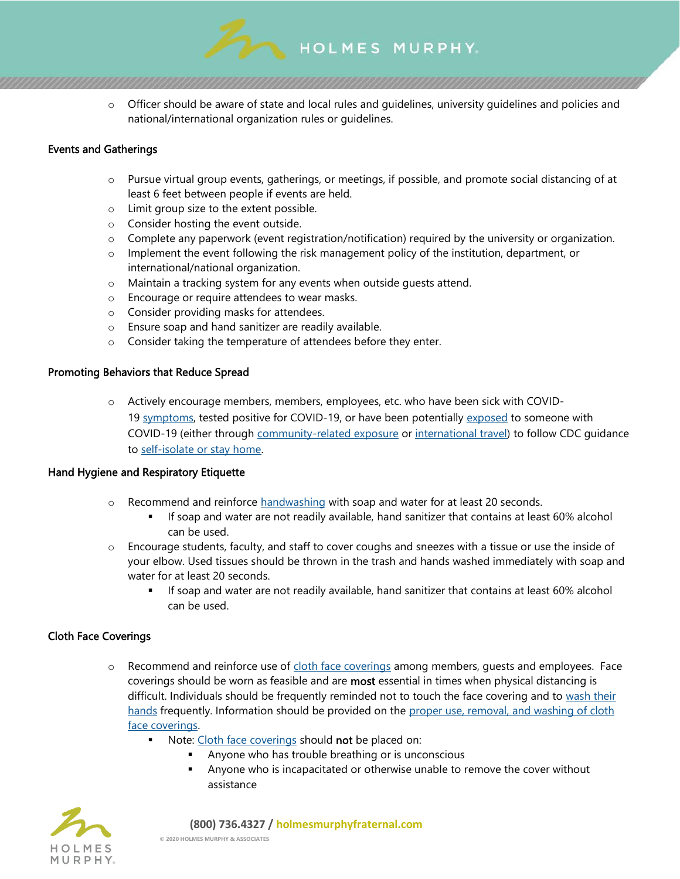

HOLMES MURPHY

### Events and Gatherings

- o Pursue virtual group events, gatherings, or meetings, if possible, and promote social distancing of at least 6 feet between people if events are held.
- o Limit group size to the extent possible.
- o Consider hosting the event outside.
- o Complete any paperwork (event registration/notification) required by the university or organization.
- $\circ$  Implement the event following the risk management policy of the institution, department, or international/national organization.
- o Maintain a tracking system for any events when outside guests attend.
- o Encourage or require attendees to wear masks.
- o Consider providing masks for attendees.
- o Ensure soap and hand sanitizer are readily available.
- o Consider taking the temperature of attendees before they enter.

#### Promoting Behaviors that Reduce Spread

o Actively encourage members, members, employees, etc. who have been sick with COVID-19 [symptoms,](https://www.cdc.gov/coronavirus/2019-ncov/symptoms-testing/symptoms.html) tested positive for COVID-19, or have been potentially [exposed](https://www.cdc.gov/coronavirus/2019-ncov/php/public-health-recommendations.html) to someone with COVID-19 (either through [community-related exposure](https://www.cdc.gov/coronavirus/2019-ncov/php/public-health-recommendations.html) or [international travel\)](https://www.cdc.gov/coronavirus/2019-ncov/php/risk-assessment.html) to follow CDC guidance to [self-isolate or stay home.](https://www.cdc.gov/coronavirus/2019-ncov/if-you-are-sick/quarantine-isolation.html)

#### Hand Hygiene and Respiratory Etiquette

- o Recommend and reinforce [handwashing](https://www.cdc.gov/handwashing/when-how-handwashing.html) with soap and water for at least 20 seconds.
	- **.** If soap and water are not readily available, hand sanitizer that contains at least 60% alcohol can be used.
- o Encourage students, faculty, and staff to cover coughs and sneezes with a tissue or use the inside of your elbow. Used tissues should be thrown in the trash and hands washed immediately with soap and water for at least 20 seconds.
	- **.** If soap and water are not readily available, hand sanitizer that contains at least 60% alcohol can be used.

### Cloth Face Coverings

- o Recommend and reinforce use of [cloth face coverings](https://www.cdc.gov/coronavirus/2019-ncov/prevent-getting-sick/diy-cloth-face-coverings.html) among members, guests and employees. Face coverings should be worn as feasible and are **most** essential in times when physical distancing is difficult. Individuals should be frequently reminded not to touch the face covering and to wash their [hands](https://www.cdc.gov/handwashing/when-how-handwashing.html) frequently. Information should be provided on the proper use, removal, and washing of cloth [face coverings.](https://www.cdc.gov/coronavirus/2019-ncov/prevent-getting-sick/diy-cloth-face-coverings.html)
	- Note: [Cloth face coverings](https://www.cdc.gov/coronavirus/2019-ncov/prevent-getting-sick/diy-cloth-face-coverings.html) should not be placed on:
		- Anyone who has trouble breathing or is unconscious
		- **EXECT** Anyone who is incapacitated or otherwise unable to remove the cover without assistance

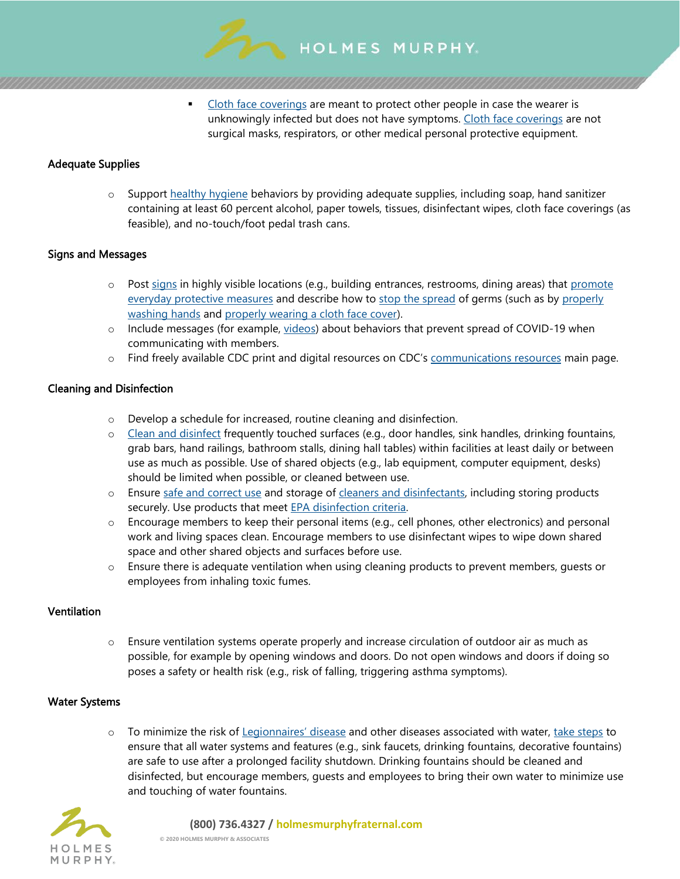

[Cloth face coverings](https://www.cdc.gov/coronavirus/2019-ncov/prevent-getting-sick/diy-cloth-face-coverings.html) are meant to protect other people in case the wearer is unknowingly infected but does not have symptoms. [Cloth face coverings](https://www.cdc.gov/coronavirus/2019-ncov/prevent-getting-sick/diy-cloth-face-coverings.html) are not surgical masks, respirators, or other medical personal protective equipment.

# Adequate Supplies

 $\circ$  Support [healthy hygiene](https://www.cdc.gov/handwashing/when-how-handwashing.html) behaviors by providing adequate supplies, including soap, hand sanitizer containing at least 60 percent alcohol, paper towels, tissues, disinfectant wipes, cloth face coverings (as feasible), and no-touch/foot pedal trash cans.

# Signs and Messages

- $\circ$  Post [signs](https://www.cdc.gov/coronavirus/2019-ncov/communication/print-resources.html?Sort=Date%3A%3Adesc) in highly visible locations (e.g., building entrances, restrooms, dining areas) that promote [everyday protective measures](https://www.cdc.gov/coronavirus/2019-ncov/prevent-getting-sick/prevention-H.pdf) and describe how to [stop the spread](https://www.cdc.gov/coronavirus/2019-ncov/downloads/stop-the-spread-of-germs-11x17-en.pdf) of germs (such as by properly [washing hands](https://www.cdc.gov/handwashing/posters.html) and [properly wearing a cloth face cover\)](https://www.cdc.gov/coronavirus/2019-ncov/images/face-covering-checklist.jpg).
- o Include messages (for example, [videos\)](https://www.cdc.gov/coronavirus/2019-ncov/communication/videos.html) about behaviors that prevent spread of COVID-19 when communicating with members.
- $\circ$  Find freely available CDC print and digital resources on CDC's [communications resources](https://www.cdc.gov/coronavirus/2019-ncov/communication/index.html) main page.

# Cleaning and Disinfection

- o Develop a schedule for increased, routine cleaning and disinfection.
- o [Clean and disinfect](https://www.cdc.gov/coronavirus/2019-ncov/community/clean-disinfect/index.html) frequently touched surfaces (e.g., door handles, sink handles, drinking fountains, grab bars, hand railings, bathroom stalls, dining hall tables) within facilities at least daily or between use as much as possible. Use of shared objects (e.g., lab equipment, computer equipment, desks) should be limited when possible, or cleaned between use.
- o Ensure [safe and correct use](https://www.cdc.gov/coronavirus/2019-ncov/community/disinfecting-building-facility.html) and storage of [cleaners and disinfectants,](https://www.epa.gov/pesticide-registration/list-n-disinfectants-use-against-sars-cov-2) including storing products securely. Use products that meet **EPA** disinfection criteria.
- o Encourage members to keep their personal items (e.g., cell phones, other electronics) and personal work and living spaces clean. Encourage members to use disinfectant wipes to wipe down shared space and other shared objects and surfaces before use.
- o Ensure there is adequate ventilation when using cleaning products to prevent members, guests or employees from inhaling toxic fumes.

### **Ventilation**

o Ensure ventilation systems operate properly and increase circulation of outdoor air as much as possible, for example by opening windows and doors. Do not open windows and doors if doing so poses a safety or health risk (e.g., risk of falling, triggering asthma symptoms).

## Water Systems

 $\circ$  To minimize the risk of [Legionnaires' disease](https://www.cdc.gov/legionella/about/index.html) and other diseases associated with water, [take steps](https://www.cdc.gov/coronavirus/2019-ncov/php/building-water-system.html) to ensure that all water systems and features (e.g., sink faucets, drinking fountains, decorative fountains) are safe to use after a prolonged facility shutdown. Drinking fountains should be cleaned and disinfected, but encourage members, guests and employees to bring their own water to minimize use and touching of water fountains.



#### **(800) 736.4327 / holmesmurphyfraternal.com**

**© 2020 HOLMES MURPHY & ASSOCIATES**